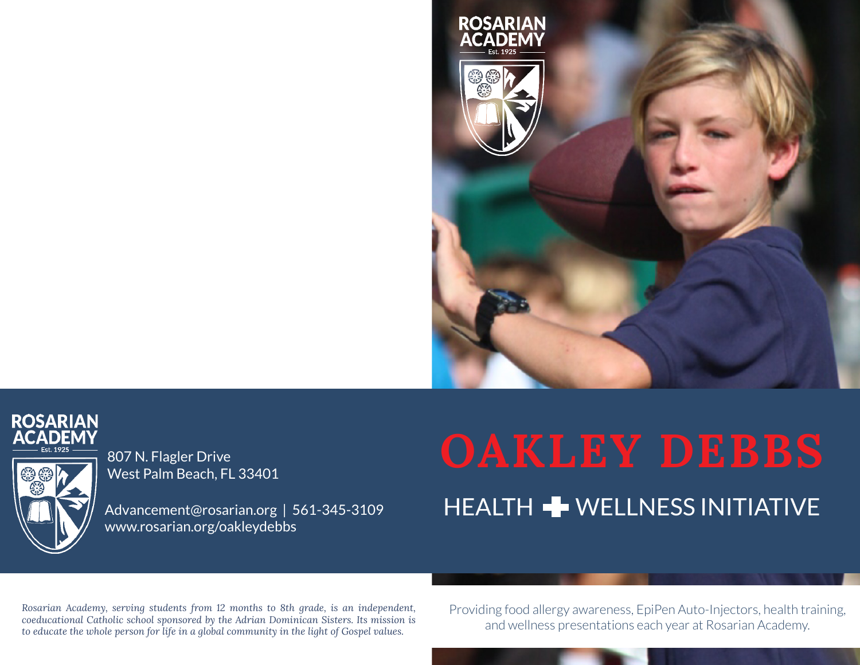





807 N. Flagler Drive West Palm Beach, FL 33401

Advancement@rosarian.org | 561-345-3109 www.rosarian.org/oakleydebbs

# **OAKLEY DEBBS** HEALTH **+** WELLNESS INITIATIVE

*Rosarian Academy, serving students from 12 months to 8th grade, is an independent, coeducational Catholic school sponsored by the Adrian Dominican Sisters. Its mission is to educate the whole person for life in a global community in the light of Gospel values.*

Providing food allergy awareness, EpiPen Auto-Injectors, health training, and wellness presentations each year at Rosarian Academy.